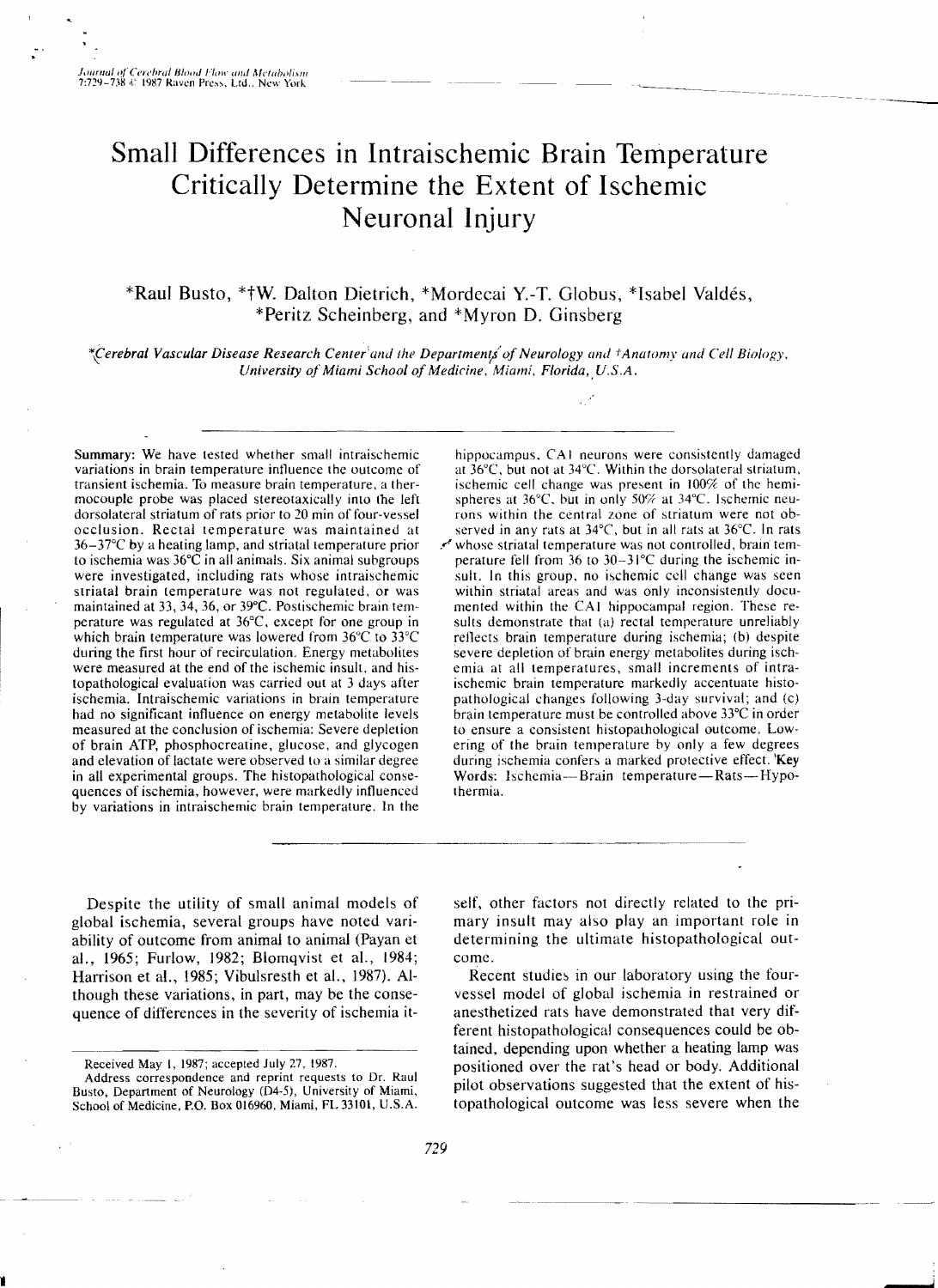# **Small Differences in Intraischemic Brain Temperature Critically Determine the Extent of Ischemic Neuronal Injury**

\*Raul Busto, \*tW. Dalton Dietrich, \*Mordecai Y.-T. Globus, \*Isabel Valdes, \*Peritz Scheinberg, and \*Myron D. Ginsberg

*\*ferebral Vascular Disease Research Center'and Ihe Department!ofNeurology and tAnatomy and Cell Biology. University of Miami School of Medicine*, *Miami, Florida, U.S.A.* 

Summary: We have tested whether small intraischemic variations in brain temperature intluence the outcome of transient ischemia. To measure brain temperature. a thermocouple probe was placed stereotaxically into the left dorsolateral striatum of rats prior to 20 min of four-vessel occlusion. Rectal temperature was maintained at 36-37°C by a heating lamp, and striatal temperature prior to ischemia was 36°C in all animals. Six animal subgroups were investigated, including rats whose intraischemic striatal brain temperature was not regulated. or was maintained at 33, 34, 36, or 39°C. Postischemic brain temperature was regulated at  $36^{\circ}$ C, except for one group in which brain temperature was lowered from 36°C to 33°C during the first hour of recirculation. Energy metabolites were measured at the end of the ischemic insult. and histopathological evaluation was carried out at 3 days after ischemia. Intraischemic variations in brain temperature had no significant influence on energy metabolite levels measured at the conclusion of ischemia: Severe depletion of brain ATP, phosphocreatine, glucose, and glycogen and elevation of lactate were observed to a similar degree in all experimental groups. The histopathological consequences of ischemia, however, were markedly influenced by variations in intraischemic brain temperature. In the

hippocampus. CAl neurons were consistently damaged at  $36^{\circ}$ C, but not at  $34^{\circ}$ C. Within the dorsolateral striatum, ischemic cell change was present in  $100\%$  of the hemispheres at  $36^{\circ}$ C, but in only  $50\%$  at  $34^{\circ}$ C. Ischemic neurons within the central zone of striatum were not observed in any rats at 34°C, but in all rats at 36°C, In rats .~ whose striatal temperature was not controlled, brain temperature fell from 36 to 30-31°C during the ischemic insult. In this group. no ischemic cell change was seen within striatal areas and was only inconsistently documented within the CAl hippocampal region. These results demonstrate that (a) rectal temperature unreliably reflects brain temperature during ischemia; (b) despite severe depletion of brain energy metabolites during ischemia at all temperatures, small increments of intraischemic brain temperature markedly accentuate histopathological changes following 3-day survival; and (c) brain temperature must be controlled above 33°C in order to ensure a consistent histopathological outcome. Lowering of the brain temperature by only a few degrees during ischemia confers a marked protective effect. Key

Despite the utility of small animal models of global ischemia, several groups have noted variability of outcome from animal to animal (Payan et al., 1965; Furlow, 1982; Blomqvist et aL, 1984; Harrison et al., 1985; Vibulsresth et al.. 1987). Although these variations, in part, may be the consequence of differences in the severity of ischemia itself. other factors not directly related to the primary insult may also play an important role in determining the ultimate histopathological outcome.

Words: Ischemia-Brain temperature-Rats-Hypo-

Recent studies in our laboratory using the fourvessel model of global ischemia in restrained or anesthetized rats have demonstrated that very different histopathological consequences could be obtained, depending upon whether a heating lamp was positioned over the rat's head or body. Additional pilot observations suggested that the extent of histopathological outcome was less severe when the

thermia.

Received May 1, 1987; accepted July 27, 1987.

Address correspondence and reprint requests to Dr. Raul Busto, Department of Neurology (04-5), University of Miami, School of Medicine. P.O. Box 016960, Miami, FL 33101, U.S.A.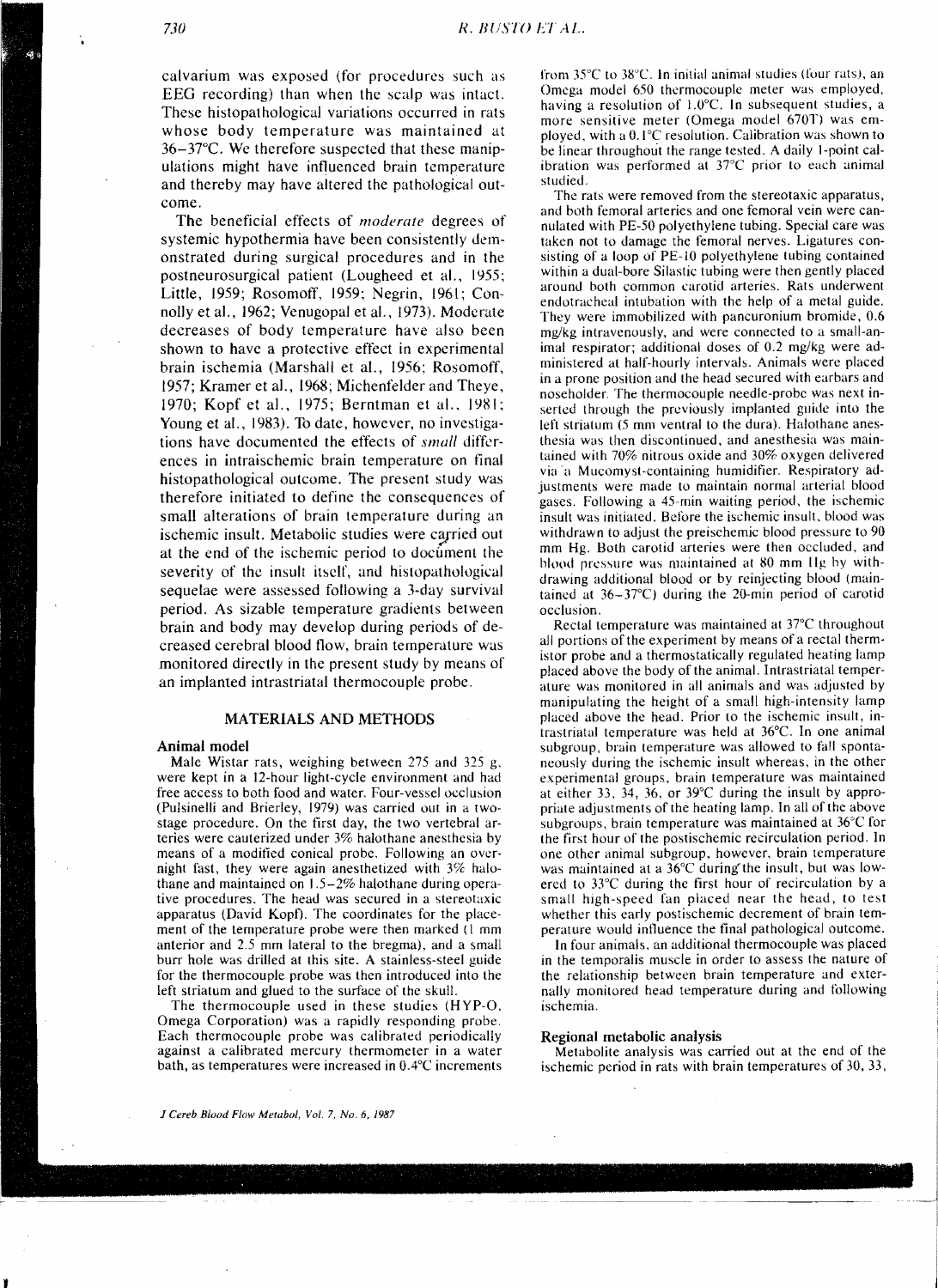calvarium was exposed (for procedures such as BEG recording) than when the scalp was intact. These histopathological variations occurred in rats whose body temperature was maintained at 36-37°C. We therefore suspected that these manipulations might have intluenced brain temperature and thereby may have altered the pathological outcome.

The beneficial effects of *moderate* degrees of systemic hypothermia have been consistently demonstrated during surgical procedures and in the postneurosurgical patient (Lougheed et a!., I*Y55;*  Little, 1959; Rosomoff, 1959; Negrin, 1961; Connolly et al., 1962; Venugopal et al., 1973). Moderate decreases of body temperature have also been shown to have a protective effect in experimental brain ischemia (Marshall et aI., 1956; Rosomoff, 1957; Kramer et aI., 1968; Michenfelder and Theye, 1970; Kopf et al., 1975; Berntman et al., 1981; Young et al., 1983). To date, however, no investigations have documented the effects of *small* differences in intraischemic brain temperature on final histopathological outcome. The present study was therefore initiated to define the consequences of small alterations of brain temperature during an ischemic insult. Metabolic studies were carried out at the end of the ischemic period to document the severity of the insult itself, and histopathological sequelae were assessed following a 3-day survival period. As sizable temperature gradients between brain and body may develop during periods of decreased cerebral blood tlow, brain temperature was monitored directly in the present study by means of an implanted intrastriatal thermocouple probe.

# MATERIALS AND METHODS

#### Animal model

Male Wistar rats, weighing between 275 and 325 g. were kept in a 12-hour light-cycle environment and had free access to both food and water. Four-vessel occlusion (Pulsinelli and Brierley, 1979) was carried out in a twostage procedure. On the first day. the two vertebral arteries were cauterized under 3% halothane anesthesia by means of a modified conical probe. Following an overnight fast, they were again anesthetized with 3% halothane and maintained on 1.5-2% halothane during operative procedures. The head was secured in a stereotaxic apparatus (David Kopt). The coordinates for the placement of the temperature probe were then marked (I mm anterior and 2.5 mm lateral to the bregma), and a small burr hole was drilled at this site. A stainless-steel guide for the thermocouple probe was then introduced into the left striatum and glued to the surface of the skull.

The thermocouple used in these studies (HYP-O, Omega Corporation) was a rapidly responding probe. Each thermocouple probe was calibrated periodically against a calibrated mercury thermometer in a water bath, as temperatures were increased in  $0.4^{\circ}$ C increments from 35°C to 38°C. In initial animal studies (four rats), an Omega model 650 thermocouple meter was employed, having a resolution of 1.0°C. In subsequent studies, a more sensitive meter (Omega model 6701') was employed, with a 0.1 °C resolution. Calibration was shown to be linear throughout the range tested. A daily I-point calibration was performed at 37°C prior to each animal studied.

The rats were removed from the stereotaxic apparatus, and both femoral arteries and one femoral vein were cannulated with PE-50 polyethylene tubing. Special care was taken not to damage the femoral nerves. Ligatures consisting of a loop of PE-IO polyethylene tubing contained within a dual-bore Silastic tubing were then gently placed around both common carotid arteries. Rats underwent endotracheal intubation with the help of a metal guide. They were immobilized with pancuronium bromide, 0.6 mg/kg intravenously, and were connected to a smail-animal respirator; additional doses of 0.2 mg/kg were administered at half-hourly intervals. Animals were placed in a prone position and the head secured with carbars and noseholder. The thermocouple needle-probe was next inserted through the previously implanted guide into the left striatum (5 mm ventral to the dura). Halothane anesthesia was then discontinued. and anesthesia was maintained with 70% nitrous oxide and 30% oxygen delivered via 'a Mucomyst-containing humidifier. Respiratory adjustments were made to maintain normal arterial blood gases. Following a 45-min waiting period, the ischemic insult was initiated. Before the ischemic insult. blood was withdrawn to adjust the preisehemic blood pressure to 90 mm Hg. Both carotid arteries were then occluded, and blood pressure was maintained at 80 mm IIg by withdrawing additional blood or by reinjecting blood (maintained at  $36-37^{\circ}$ C) during the 20-min period of carotid occlusion.

Rectal temperature was maintained at 37°C throughout all portions of the experiment by means of a rectal thermistor probe and a thermostatically regulated heating lamp placed above the body of the animal. Intrastriatal temperature was monitored in all animals and was adjusted by manipulating the height of a small high-intensity lamp placed above the head. Prior (0 the ischemic insult, intrastriatal temperature was held at 36°C. In one animal subgroup. brain temperature was allowed to fall spontaneously during the ischemic insult whereas, in the other experimental groups. brain temperature was maintained at either 33, 34, 36. or 39°C during the insult by appropriate adjustments of the heating lamp. In all of the above subgroups, brain temperature was maintained at 36°C for the first hour of the postischemic recirculation period. In one other animal subgroup, however, brain temperature was maintained at a 36°C during' the insult, but was lowered to 33°C during the first hour of recirculation by a small high-speed fan placed near the head, to test whether this early postischemic decrement of brain temperature would inlluence the final pathological outcome.

In four animals. an additional thermocouple was placed in the temporalis muscle in order to assess the nature of the relationship between brain temperature and externally monitored head temperature during and following ischemia.

#### Regional metabolic analysis

Metabolite analysis was carried out at the end of the ischemic period in rats with brain temperatures of 30.33,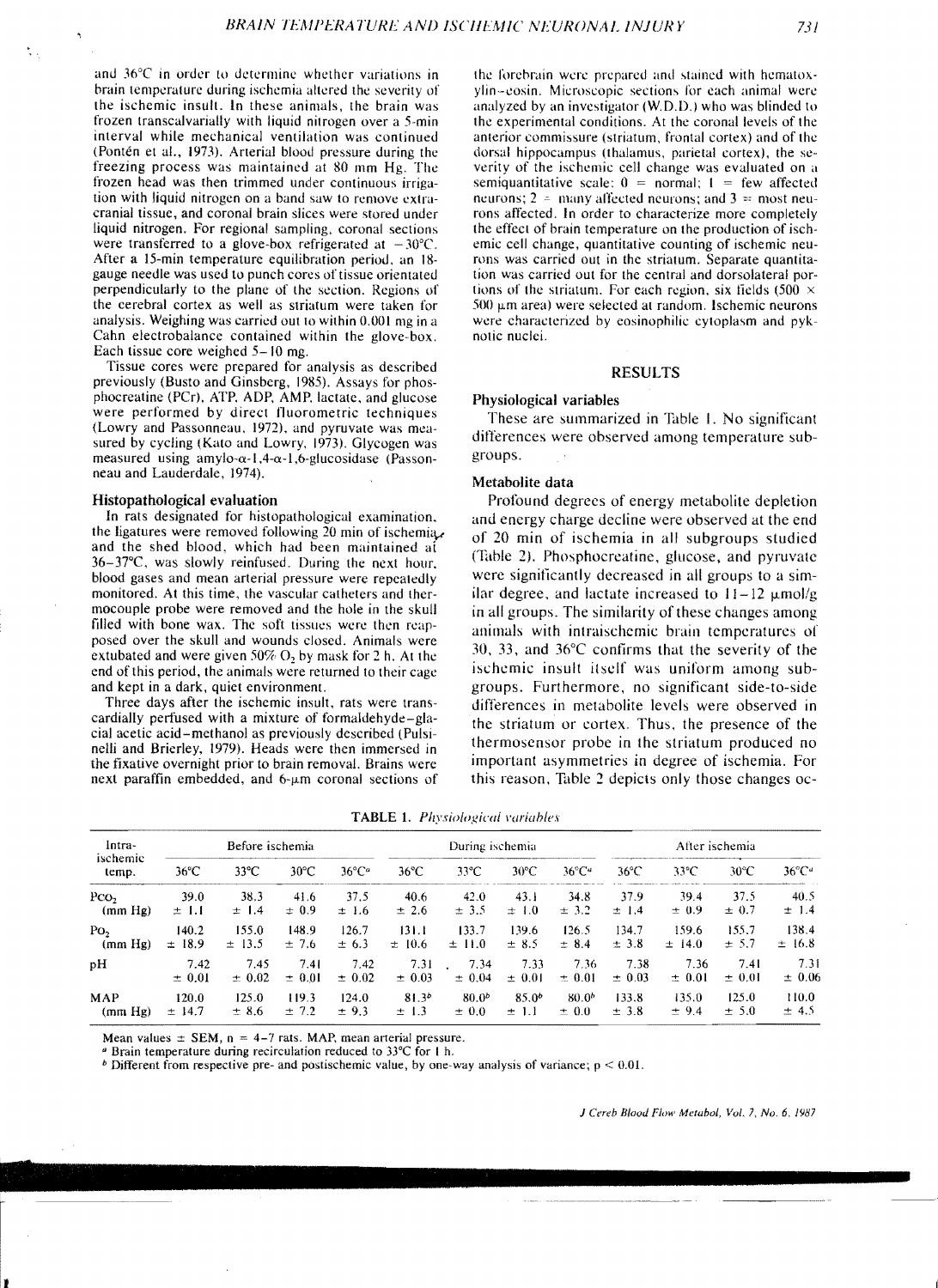and  $36^{\circ}$ C in order to determine whether variations in brain temperature during ischemia altered the severity of the ischemic insult. In these animals, the brain was frozen transcalvarially with liquid nitrogen over a 5-min interval while mechanical ventilation was continued (Pontén et al., 1973). Arterial blood pressure during the freezing process was maintained at 80 mm Hg. The frozen head was then trimmed under continuous irrigation with liquid nitrogen on a band saw to remove extracranial tissue, and coronal brain slices were stored under liquid nitrogen. For regional sampling, coronal sections were transferred to a glove-box refrigerated at  $-30^{\circ}$ C. After a 15-min temperature equilibration period, an 18gauge needle was used to punch cores of tissue orientateu perpendicularly to the plane of the section. Regions of the cerebral cortex as well as striatum were taken for analysis. Weighing was carried out to within 0.001 mg in a Cahn electrobalance contained within the glove-box. Each tissue core weighed 5-10 mg.

Tissue cores were prepared for analysis as described previously (Busto and Ginsberg, 1985). Assays for phosphocreatine (PCr), ATP. AOP, AMP. lactate. and glucose were performed by direct fluorometric techniques (Lowry and Passonneau. 1972). and pyruvate was measured by cycling (Kato and Lowry. 1973). Glycogen was measured using amylo- $\alpha$ -1.4- $\alpha$ -1.6-glucosidase (Passonneau and Lauderdale. 1974).

## Histopathological evaluation

In rats designated for histopathological examination. the ligatures were removed following 20 min of ischemia, and the shed blood, which had been maintained ai 36-37°C, was slowly reinfused. During the next hour. blood gases and mean arterial pressure were repeatedly monitored. At this time, the vascular catheters and thermocouple probe were removed and the hole in the skull filled with bone wax. The soft tissues were then reapposed over the skull and wounds closed. Animals were extubated and were given 50%  $O_2$  by mask for 2 h. At the end of this period, the animals were returned to their cage and kept in a dark, quiet environment.

Three days after the ischemic insult, rats were transcardially perfused with a mixture of formaldehyde-glacial acetic acid-methanol as previously described (Pulsinelli and Brierley, 1979). Heads were then immersed in the fixative overnight prior to brain removal. Brains were next paraffin embedded, and  $6-\mu m$  coronal sections of the forebrain were prepared and stained with hematoxylin-eosin. Microscopic sections for each animal were analyzed by an investigator (W.O.D.) who was blinded to the experimental conditions. At the coronal levels of the anterior commissure (striatum. frontal cortex) and of the dorsal hippocampus (thalamus. parietal cortex), the severity of the ischemic cell change was evaluated on a semiquantitative scale:  $0 = normal$ ;  $1 = few affected$ neurons;  $2 \approx$  many affected neurons; and  $3 \approx$  most neurons affected. In order to characterize more completely the effecl of brain temperature on the production of ischemic cell change, quantitative counting of ischemic neurons was carried out in the striatum. Separate quantita tion was carried out for the central and dorsolateral portions of the striatum. For each region, six fields (500  $\times$  $500 \mu$ m area) were selected at random. Ischemic neurons were characterized by eosinophilic cytoplasm and pyknotic nuclei.

#### RESULTS

#### Physiological variables

These are summarized in Table I. No significant differences were observed among temperature subgroups.

# Metabolite data

Profound degrees of energy metabolite depletion and energy charge decline were observed at the end of 20 min of ischemia in all subgroups studied (Table 2). Phosphocreatine, glucose, and pyruvate were significantly decreased in all groups to a similar degree, and lactate increased to  $11-12 \mu \text{mol/g}$ in all groups. The similarity of these changes among animals with intraischemic brain temperatures or 30, 33, and 36°C confirms that the severity of the ischemic insult itself was uniform among subgroups. Furthermore, no significant side-to-side differences in metabolite levels were observed in the striatum or cortex. Thus, the presence of the thermosensor probe in the striatum produced no important asymmetries in degree of ischemia. For this reason, Table 2 depicts only those changes oc-

| lntra-<br>ischemic<br>temp. | Before ischemia |               |                | During ischemia             |                |            | After ischemia |                             |                |                |                |                             |
|-----------------------------|-----------------|---------------|----------------|-----------------------------|----------------|------------|----------------|-----------------------------|----------------|----------------|----------------|-----------------------------|
|                             | $36^{\circ}$ C  | $33^{\circ}C$ | $30^{\circ}$ C | $36^{\circ}$ C <sup>a</sup> | $36^{\circ}$ C | 33°C       | $30^{\circ}$ C | $36^{\circ}$ C <sup>a</sup> | $36^{\circ}$ C | $33^{\circ}$ C | $30^{\circ}$ C | $36^{\circ}$ C <sup>a</sup> |
| Pco-                        | 39.0            | 38.3          | 41.6           | 37.5                        | 40.6           | 42.0       | 43.1           | 34.8                        | 37.9           | 39.4           | 37.5           | 40.5                        |
| (mm Hg)                     | $\pm$ 1.1       | $\pm$ 1.4     | $\pm$ 0.9      | $\pm$ 1.6                   | $\pm 2.6$      | $\pm$ 3.5  | $\pm$ 1.0      | $\pm$ 3.2                   | $\pm$ 1.4      | ± 0.9          | $\pm 0.7$      | $\pm$ 1.4                   |
| Po <sub>2</sub>             | 140.2           | 155.0         | 148.9          | 126.7                       | 131.1          | 133.7      | 139.6          | 126.5                       | 134.7          | 159.6          | 155.7          | 138.4                       |
| (mm Hg)                     | ± 18.9          | $\pm$ 13.5    | ±7.6           | ± 6.3                       | ± 10.6         | $\pm$ 11.0 | $\pm$ 8.5      | ± 8.4                       | ± 3.8          | ± 14.0         | ± 5.7          | $\pm$ 16.8                  |
| рH                          | 7.42            | 7.45          | 7.41           | 7.42                        | 7.31           | 7.34       | 7.33           | 7.36                        | 7.38           | 7.36           | 7.41           | 7.31                        |
|                             | $\pm$ 0.01      | $\pm$ 0.02    | $\pm$ 0.01     | $\pm$ 0.02                  | $\pm$ 0.03     | $\pm$ 0.04 | $\pm$ 0.01     | $\pm$ 0.01                  | $\pm 0.03$     | $\pm$ 0.01     | $\pm 0.01$     | $\pm$ 0.06                  |
| MAP                         | 120.0           | 125.0         | 119.3          | 124.0                       | $81.3^{o}$     | $80.0^{b}$ | $85.0^{b}$     | $80.0^{b}$                  | 133.8          | 135.0          | 125.0          | 110.0                       |
| (mm Hg)                     | $\pm$ 14.7      | ± 8.6         | ± 7.2          | ± 9.3                       | $\pm$ 1.3      | $\pm$ 0.0  | $\pm$ 1.1      | $\pm$ 0.0                   | ± 3.8          | ± 9.4          | ± 5.0          | ± 4.5                       |

TABLE 1. *Physiological variables* 

Mean values  $\pm$  SEM, n = 4-7 rats. MAP, mean arterial pressure.

• Brain temperature during recirculation reduced to 33°C for I h.

*b* Different from respective pre- and postischemic value, by one-way analysis of variance;  $p < 0.01$ .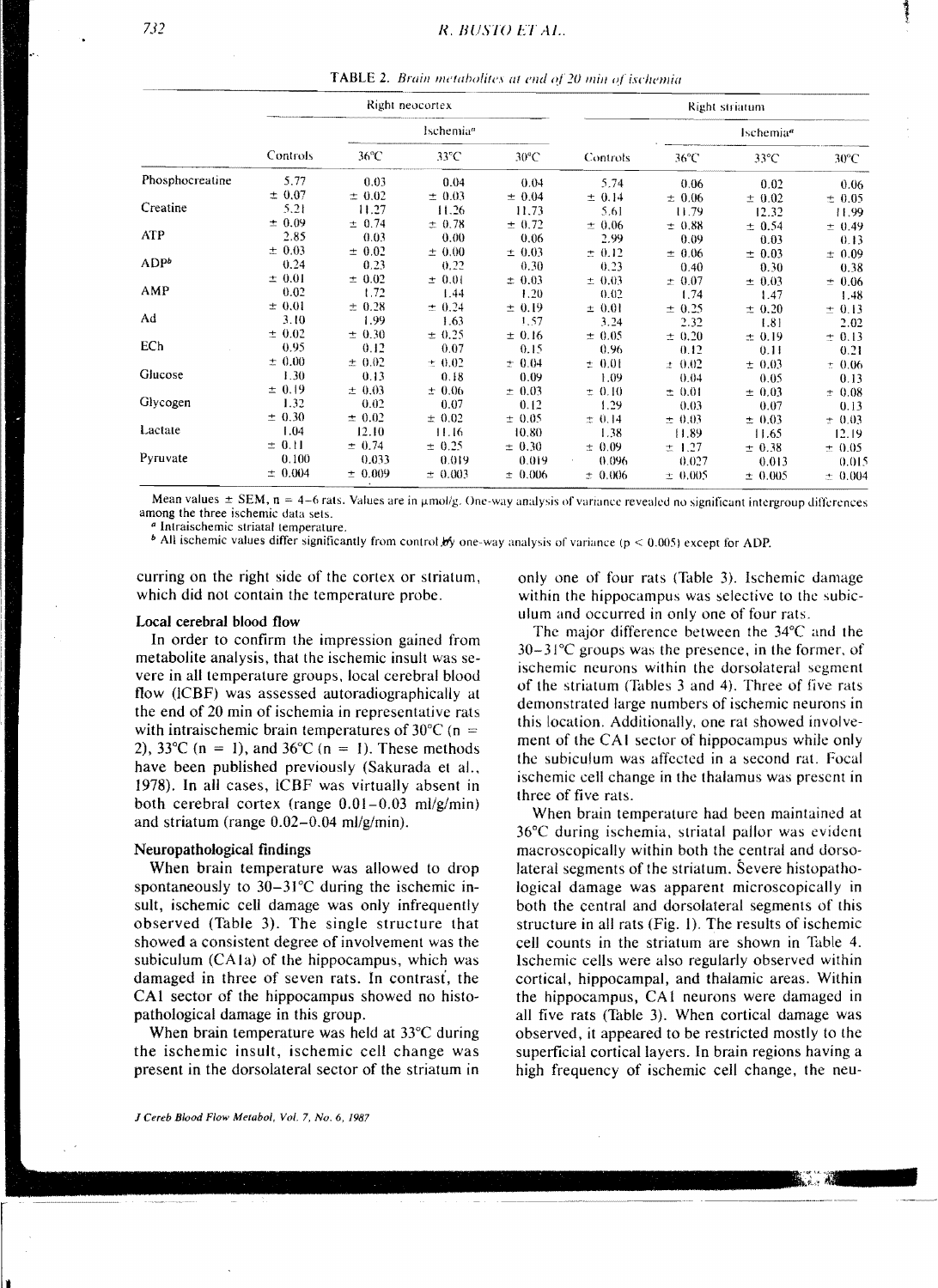|                 |            |                       | Right neocortex |                | Right striatum |                       |                |                |  |
|-----------------|------------|-----------------------|-----------------|----------------|----------------|-----------------------|----------------|----------------|--|
|                 |            | Ischemia <sup>a</sup> |                 |                |                | Ischemia <sup>a</sup> |                |                |  |
|                 | Controls   | $36^{\circ}$ C        | $33^{\circ}$ C  | $30^{\circ}$ C | Controls       | $36^{\circ}$ C        | $33^{\circ}$ C | $30^{\circ}$ C |  |
| Phosphocreatine | 5.77       | 0.03                  | 0.04            | 0.04           | 5.74           | 0.06                  | 0.02           | 0.06           |  |
|                 | ± 0.07     | $\pm 0.02$            | ± 0.03          | ± 0.04         | ± 0.14         | ± 0.06                | ± 0.02         | ± 0.05         |  |
| Creatine        | 5.21       | 11.27                 | 11.26           | 11.73          | 5.61           | 11.79                 | 12.32          | 11.99          |  |
|                 | $\pm$ 0.09 | ± 0.74                | ± 0.78          | ± 0.72         | ± 0.06         | ± 0.88                | ± 0.54         | ± 0.49         |  |
| ATP             | 2.85       | 0.03                  | 0.00            | 0.06           | 2.99           | 0.09                  | 0.03           | 0.13           |  |
|                 | ± 0.03     | $\pm$ 0.02            | ± 0.00          | ± 0.03         | ± 0.12         | ± 0.06                | ± 0.03         | ± 0.09         |  |
| $ADP^b$         | 0.24       | 0.23                  | 0,22            | 0.30           | 0.23           | 0.40                  | 0.30           | 0.38           |  |
|                 | $\pm$ 0.01 | $\pm 0.02$            | $\pm$ 0.01      | ± 0.03         | ± 0.03         | ± 0.07                | ± 0.03         | ± 0.06         |  |
| AMP             | 0.02       | 1.72                  | 1.44            | 1.20           | 0.02           | 1.74                  | 1.47           | 1.48           |  |
|                 | $\pm$ 0.01 | ± 0.28                | ± 0.24          | ± 0.19         | $\pm$ 0.01     | $\pm 0.25$            | ± 0.20         | $\pm$ 0.13     |  |
| Ad              | 3.10       | 1.99                  | 1.63            | 1.57           | 3.24           | 2.32                  | 1.81           | 2.02           |  |
|                 | ± 0.02     | ± 0.30                | ± 0.25          | ± 0.16         | ± 0.05         | $\pm 0.20$            | ± 0.19         | ± 0.13         |  |
| ECh             | 0.95       | 0.12                  | 0.07            | 0.15           | 0.96           | 0.12                  | 0.11           | 0.21           |  |
|                 | ± 0.00     | $\pm 0.02$            | ± 0.02          | $\pm 0.04$     | $\pm$ 0.01     | ± 0.02                | ± 0.03         | ± 0.06         |  |
| Glucose         | 1.30       | 0.13                  | 0.18            | 0.09           | 1.09           | 0.04                  | 0.05           | 0.13           |  |
|                 | $\pm 0.19$ | $\pm$ 0.03            | ± 0.06          | ± 0.03         | ± 0.10         | ± 0.01                | $\pm$ 0.03     | ± 0.08         |  |
| Glycogen        | 1.32       | 0.02                  | 0.07            | 0.12           | 1.29           | 0.03                  | 0.07           | 0.13           |  |
|                 | ± 0.30     | $\pm 0.02$            | ± 0.02          | ± 0.05         | ± 0.14         | ± 0.03                | ± 0.03         | ± 0.03         |  |
| Lactate         | 1.04       | 12.10                 | 11.16           | 10.80          | 1.38           | 11.89                 | 11.65          | 12.19          |  |
|                 | $\pm$ 0.11 | ± 0.74                | ± 0.25          | ± 0.30         | ± 0.09         | $\pm$ 1.27            | ± 0.38         | ± 0.05         |  |
| Pyruvate        | 0.100      | 0.033                 | 0.019           | 0.019          | 0.096          | 0.027                 | 0.013          | 0.015          |  |
|                 | ± 0.004    | ± 0.009               | ± 0.003         | $\pm 0.006$    | ± 0.006        | $\pm 0.005$           | ± 0.005        | ± 0.004        |  |

**TABLE 2.** Brain metabolites at end of 20 min of ischemia

Mean values  $\pm$  SEM,  $n = 4-6$  rats. Values are in  $\mu$ mol/g. One-way analysis of variance revealed no significant intergroup differences among the three ischemic data sets.

<sup>a</sup> Intraischemic striatal temperature.

<sup>b</sup> All ischemic values differ significantly from control by one-way analysis of variance ( $p < 0.005$ ) except for ADP.

curring on the right side of the cortex or striatum, which did not contain the temperature probe.

## Local cerebral blood flow

In order to confirm the impression gained from metabolite analysis, that the ischemic insult was severe in all temperature groups, local cerebral blood flow (ICBF) was assessed autoradiographically at the end of 20 min of ischemia in representative rats with intraischemic brain temperatures of  $30^{\circ}$ C (n = 2), 33<sup>o</sup>C (n = 1), and 36<sup>o</sup>C (n = 1). These methods have been published previously (Sakurada et al., 1978). In all cases, ICBF was virtually absent in both cerebral cortex (range  $0.01-0.03$  ml/g/min) and striatum (range  $0.02-0.04$  ml/g/min).

# Neuropathological findings

When brain temperature was allowed to drop spontaneously to  $30-31^{\circ}$ C during the ischemic insult, ischemic cell damage was only infrequently observed (Table 3). The single structure that showed a consistent degree of involvement was the subiculum (CA1a) of the hippocampus, which was damaged in three of seven rats. In contrast, the CA1 sector of the hippocampus showed no histopathological damage in this group.

When brain temperature was held at  $33^{\circ}$ C during the ischemic insult, ischemic cell change was present in the dorsolateral sector of the striatum in only one of four rats (Table 3). Ischemic damage within the hippocampus was selective to the subiculum and occurred in only one of four rats.

The major difference between the 34°C and the  $30-31^{\circ}$ C groups was the presence, in the former, of ischemic neurons within the dorsolateral segment of the striatum (Tables 3 and 4). Three of five rats demonstrated large numbers of ischemic neurons in this location. Additionally, one rat showed involvement of the CA1 sector of hippocampus while only the subiculum was affected in a second rat. Focal ischemic cell change in the thalamus was present in three of five rats.

When brain temperature had been maintained at 36°C during ischemia, striatal pallor was evident macroscopically within both the central and dorsolateral segments of the striatum. Severe histopathological damage was apparent microscopically in both the central and dorsolateral segments of this structure in all rats (Fig. 1). The results of ischemic cell counts in the striatum are shown in Table 4. Ischemic cells were also regularly observed within cortical, hippocampal, and thalamic areas. Within the hippocampus, CA1 neurons were damaged in all five rats (Table 3). When cortical damage was observed, it appeared to be restricted mostly to the superficial cortical layers. In brain regions having a high frequency of ischemic cell change, the neu-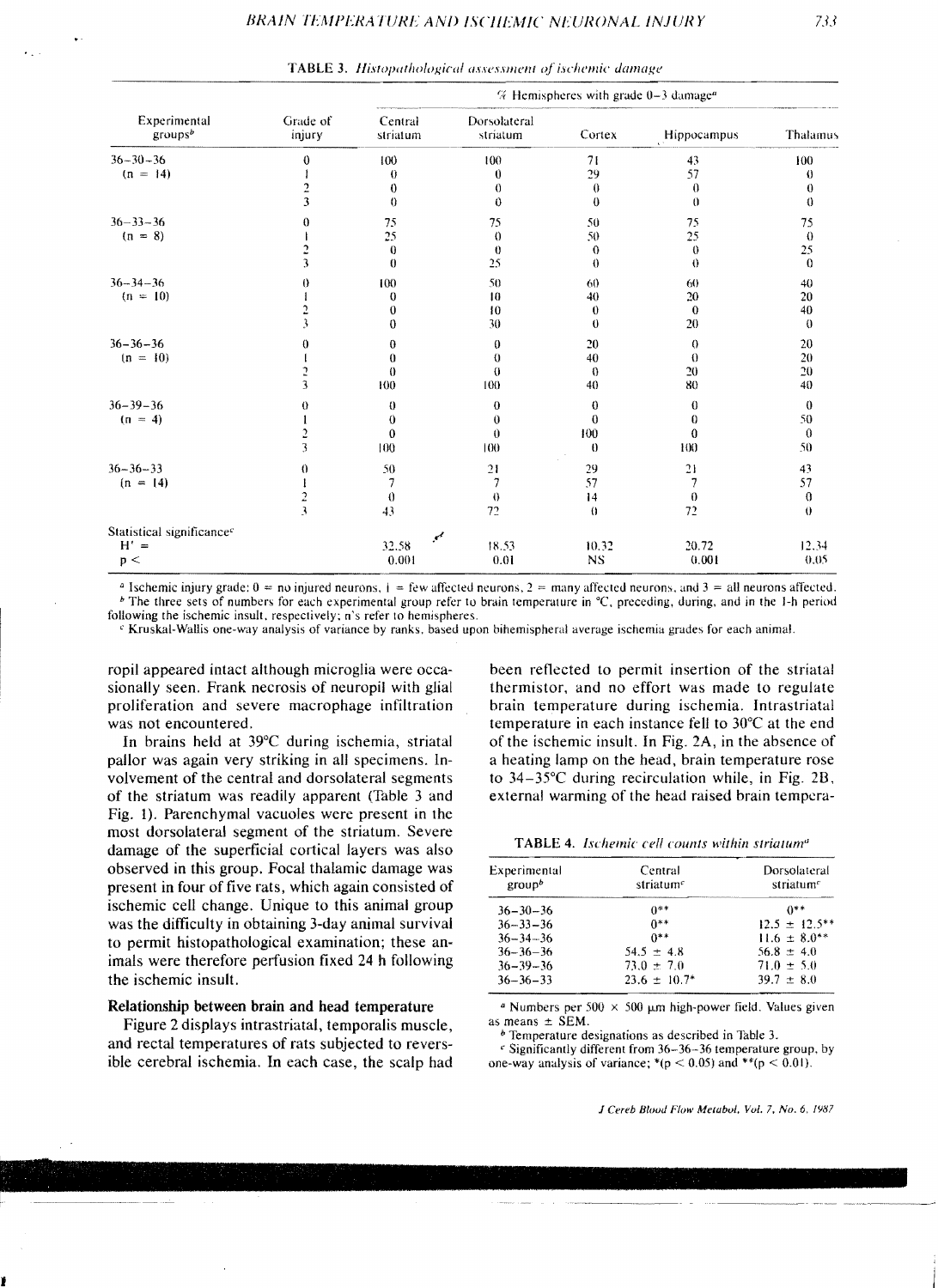|                                       |                    | $%$ Hemispheres with grade 0-3 damage <sup>a</sup> |                          |           |             |          |  |  |
|---------------------------------------|--------------------|----------------------------------------------------|--------------------------|-----------|-------------|----------|--|--|
| Experimental<br>groups <sup>b</sup>   | Grade of<br>injury | Central<br>striatum                                | Dorsolateral<br>striatum | Cortex    | Hippocampus | Thalamus |  |  |
| $36 - 30 - 36$                        | $\bf{0}$           | 100                                                | 100                      | 71        | 43          | 100      |  |  |
| $(n = 14)$                            |                    | 0                                                  | $\theta$                 | 29        | 57          | $\theta$ |  |  |
|                                       | $\overline{2}$     | $\bf{0}$                                           | 0                        | $\theta$  | $\theta$    | $\theta$ |  |  |
|                                       | 3                  | $\theta$                                           | $\theta$                 | 0         | $\theta$    | $\theta$ |  |  |
| $36 - 33 - 36$                        | 0                  | 75                                                 | 75                       | 50        | 75          | 75       |  |  |
| $(n = 8)$                             |                    | 25                                                 | $\theta$                 | 50        | 25          | $\theta$ |  |  |
|                                       | 2                  | $\bf{0}$                                           | $\theta$                 | $\bf{0}$  | $\theta$    | 25       |  |  |
|                                       | 3                  | 0                                                  | 25                       | $\theta$  | $\theta$    | $\Omega$ |  |  |
| $36 - 34 - 36$                        | $\theta$           | 100                                                | 50                       | 60        | 60          | 40       |  |  |
| $(n = 10)$                            |                    | 0                                                  | 10                       | 40        | 20          | 20       |  |  |
|                                       |                    | $\theta$                                           | 10                       | $\bf{0}$  | $\bf{0}$    | 40       |  |  |
|                                       |                    | 0                                                  | 30                       | $\theta$  | 20          | $\theta$ |  |  |
| $36 - 36 - 36$                        | 0                  | 0                                                  | $\theta$                 | 20        | $^{\circ}$  | 20       |  |  |
| $(n = 10)$                            |                    | $\theta$                                           | 0                        | 40        | $\theta$    | 20       |  |  |
|                                       | <b>C</b>           | $\theta$                                           | $\theta$                 | $\theta$  | 20          | 20       |  |  |
|                                       | 3                  | 100                                                | 100                      | 40        | 80          | 40       |  |  |
| $36 - 39 - 36$                        | 0                  | $\theta$                                           | $\theta$                 | $\theta$  | $\theta$    | $\bf{0}$ |  |  |
| $(n = 4)$                             |                    | $\bf{0}$                                           | $\theta$                 | $\theta$  | 0           | 50       |  |  |
|                                       | $\overline{c}$     | $\bf{0}$                                           | $\theta$                 | 100       | $\theta$    | $\theta$ |  |  |
|                                       | 3                  | 100                                                | 100                      | $\theta$  | 100         | 50       |  |  |
| $36 - 36 - 33$                        | 0                  | 50                                                 | 21                       | 29        | 21          | 43       |  |  |
| $(n = 14)$                            |                    | 7                                                  | 7                        | 57        | 7           | 57       |  |  |
|                                       |                    | $\theta$                                           | $\theta$                 | 4         | $\theta$    | 0        |  |  |
|                                       | $\frac{2}{3}$      | 43                                                 | 72                       | $\theta$  | 72          | $\theta$ |  |  |
| Statistical significance <sup>c</sup> |                    | ✔                                                  |                          |           |             |          |  |  |
| $H' =$                                |                    | 32.58                                              | 18.53                    | 10.32     | 20.72       | 12.34    |  |  |
| p <                                   |                    | 0.001                                              | 0.01                     | <b>NS</b> | 0.001       | 0.05     |  |  |

**TABLE 3.** Histopathological assessment of ischemic damage

<sup>a</sup> Ischemic injury grade;  $0 =$  no injured neurons,  $1 =$  few affected neurons,  $2 =$  many affected neurons, and  $3 =$  all neurons affected. <sup>b</sup> The three sets of numbers for each experimental group refer to brain temperature in °C, preceding, during, and in the 1-h period following the ischemic insult, respectively; n's refer to hemispheres.

<sup>c</sup> Kruskal-Wallis one-way analysis of variance by ranks, based upon bihemispheral average ischemia grades for each animal.

ropil appeared intact although microglia were occasionally seen. Frank necrosis of neuropil with glial proliferation and severe macrophage infiltration was not encountered.

In brains held at 39°C during ischemia, striatal pallor was again very striking in all specimens. Involvement of the central and dorsolateral segments of the striatum was readily apparent (Table 3 and Fig. 1). Parenchymal vacuoles were present in the most dorsolateral segment of the striatum. Severe damage of the superficial cortical layers was also observed in this group. Focal thalamic damage was present in four of five rats, which again consisted of ischemic cell change. Unique to this animal group was the difficulty in obtaining 3-day animal survival to permit histopathological examination; these animals were therefore perfusion fixed 24 h following the ischemic insult.

# Relationship between brain and head temperature

Figure 2 displays intrastriatal, temporalis muscle, and rectal temperatures of rats subjected to reversible cerebral ischemia. In each case, the scalp had been reflected to permit insertion of the striatal thermistor, and no effort was made to regulate brain temperature during ischemia. Intrastriatal temperature in each instance fell to 30°C at the end of the ischemic insult. In Fig. 2A, in the absence of a heating lamp on the head, brain temperature rose to  $34-35$ °C during recirculation while, in Fig. 2B, external warming of the head raised brain tempera-

TABLE 4. Ischemic cell counts within striatum<sup>a</sup>

| Experimental<br>group <sup>b</sup> | Central<br>striatum <sup>e</sup> | Dorsolateral<br>striatum <sup><math>c</math></sup> |  |  |
|------------------------------------|----------------------------------|----------------------------------------------------|--|--|
| $36 - 30 - 36$                     | $0***$                           | $0**$                                              |  |  |
| $36 - 33 - 36$                     | $0**$                            | $12.5 \pm 12.5$ **                                 |  |  |
| $36 - 34 - 36$                     | $0**$                            | $11.6 \pm 8.0**$                                   |  |  |
| $36 - 36 - 36$                     | $54.5 \pm 4.8$                   | 56.8 $\pm$ 4.0                                     |  |  |
| $36 - 39 - 36$                     | $73.0 \pm 7.0$                   | $71.0 \pm 5.0$                                     |  |  |
| $36 - 36 - 33$                     | $23.6 \pm 10.7^*$                | $39.7 \pm 8.0$                                     |  |  |
|                                    |                                  |                                                    |  |  |

<sup>a</sup> Numbers per 500  $\times$  500  $\mu$ m high-power field. Values given as means  $\pm$  SEM.

<sup>b</sup> Temperature designations as described in Table 3.

 $\epsilon$  Significantly different from 36-36-36 temperature group, by one-way analysis of variance; \*( $p < 0.05$ ) and \*\*( $p < 0.01$ ).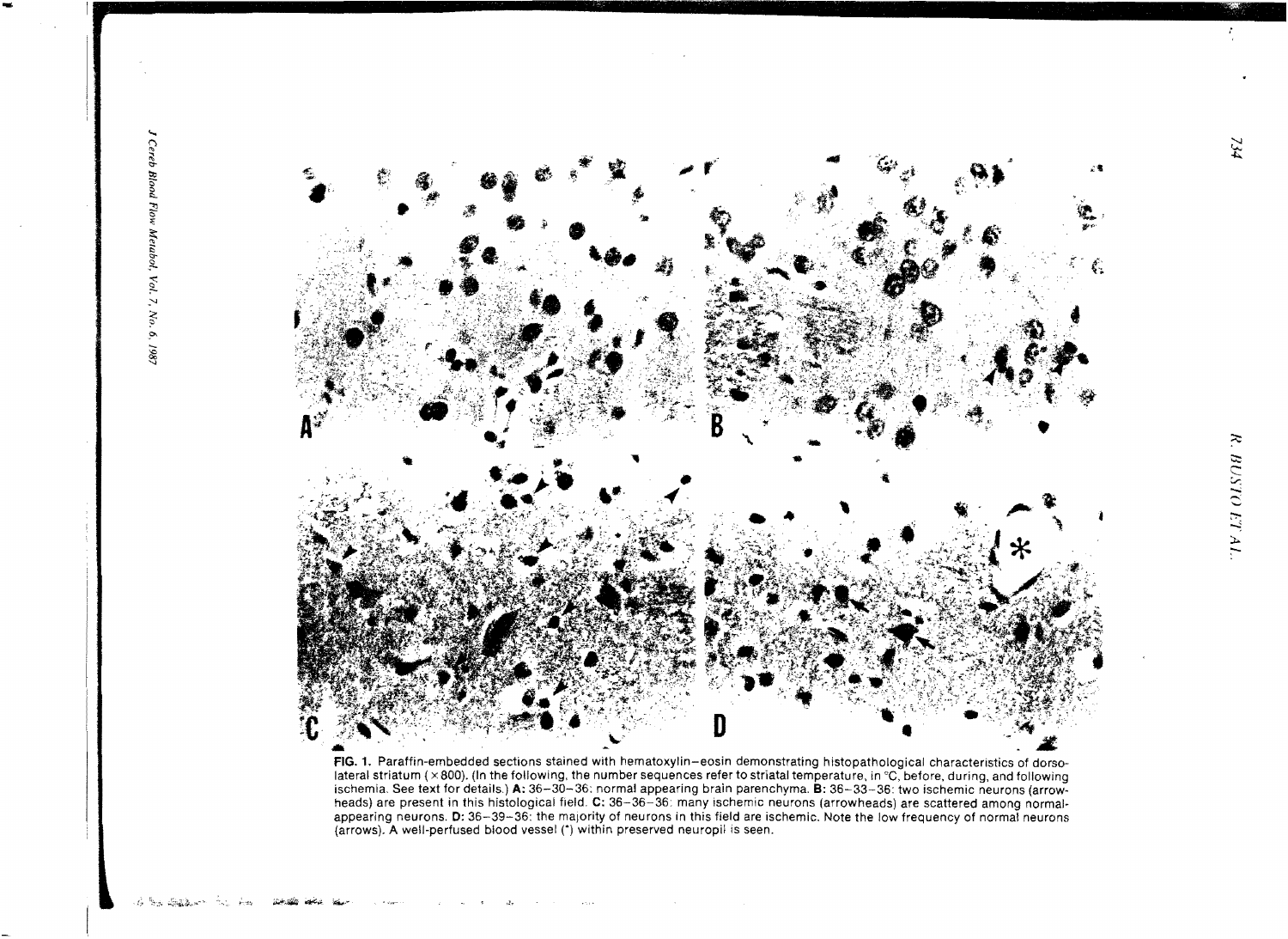

FIG. 1. Paraffin-embedded sections stained with hematoxylin-eosin demonstrating histopathological characteristics of dorsolateral striatum (×800). (In the following, the number sequences refer to striatal temperature, in °C, before, during, and following ischemia. See text for details.) A: 36-30-36: normal appearing brain parenchyma. B: 36-33-36: two ischemic neurons (arrowheads) are present in this histological field. C: 36-36-36: many ischemic neurons (arrowheads) are scattered among normalappearing neurons. D: 36-39-36: the majority of neurons in this field are ischemic. Note the low frequency of normal neurons (arrows). A well-perfused blood vessel (\*) within preserved neuropil is seen.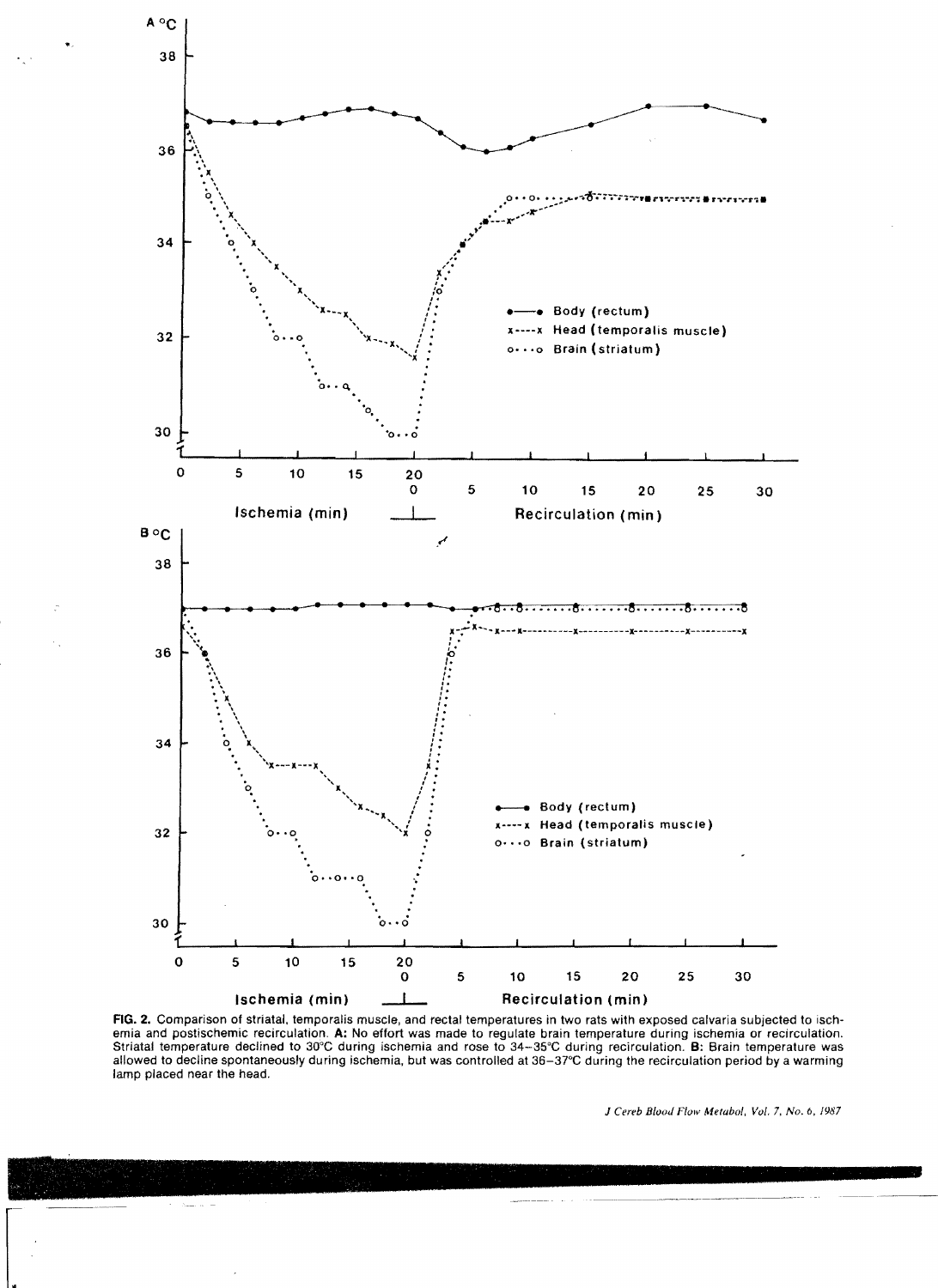

FIG. 2. Comparison of striatal. temporalis muscle, and rectal temperatures in two rats with exposed calvaria subjected to ischemia and postischemic recirculation. A: No effort was made to regulate brain temperature during ischemia or recirculation. Striatal temperature declined to 30°C during ischemia and rose to 34-35°C during recirculation. B: Brain temperature was allowed to decline spontaneously during ischemia, but was controlled at 36-37°C during the recirculation period by a warming lamp placed near the head.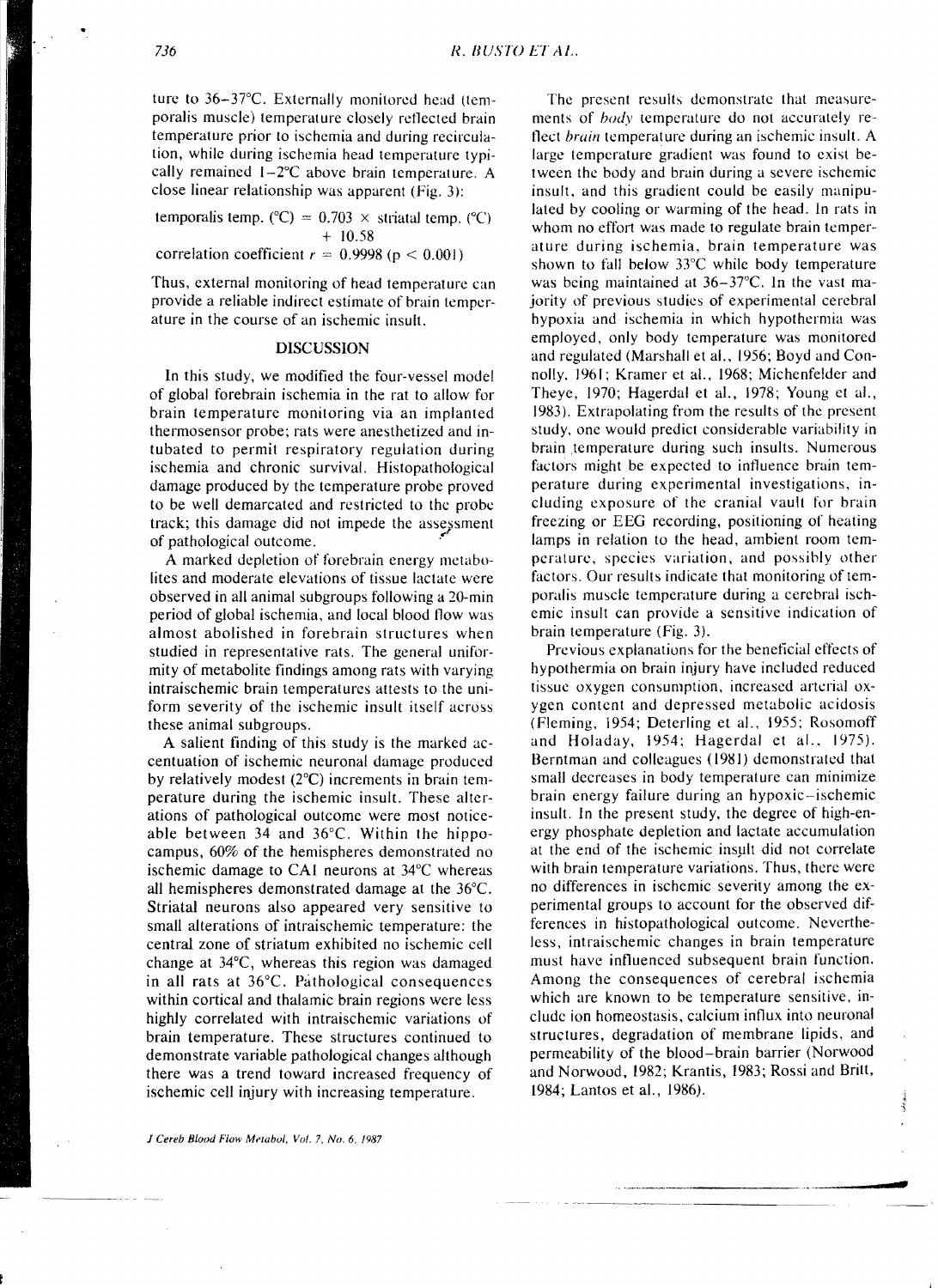ture to 36-37°C. Externally monitored head (temporalis muscle) temperature closely reflected brain temperature prior to ischemia and during recirculation, while during ischemia head temperature typically remained  $1-2$ °C above brain temperature. A close linear relationship was apparent (Fig. 3):

temporalis temp. ( $^{\circ}$ C) = 0.703 x striatal temp. ( $^{\circ}$ C) + 10.58 correlation coefficient  $r = 0.9998$  ( $p < 0.001$ )

Thus, external monitoring of head temperature can provide a reliable indirect estimate of brain temperature in the course of an ischemic insult.

# DISCUSSION

**In** this study, we modified the four-vessel model of global forebrain ischemia in the rat to allow for brain temperature monitoring via an implanted thermosensor probe; rats were anesthetized and intubated to permit respiratory regulation during ischemia and chronic survival. Histopathological damage produced by the temperature probe proved to be well demarcated and restricted to the probe track; this damage did not impede the assessment of pathological outcome. .

A marked depletion of forebrain energy metabolites and moderate elevations of tissue lactate were observed in all animal subgroups following a 20-min period of global ischemia, and local blood flow was almost abolished in forebrain structures when studied in representative rats. The general uniformity of metabolite findings among rats with varying intraischemic brain temperatures attests to the uniform severity of the ischemic insult itself across these animal subgroups.

A salient finding of this study is the marked accentuation of ischemic neuronal damage produced by relatively modest (2°C) increments in brain temperature during the ischemic insult. These alterations of pathological outcome were most noticeable between 34 and 36°C. Within the hippocampus, 60% of the hemispheres demonstrated no ischemic damage to CAL neurons at 34°C whereas all hemispheres demonstrated damage at the 36°C. Striatal neurons also appeared very sensitive to small alterations of intraischemic temperature: the central zone of striatum exhibited no ischemic cell change at 34°C, whereas this region was damaged in all rats at 36°C. Pathological consequences within cortical and thalamic brain regions were less highly correlated with intraischemic variations of brain temperature. These structures continued to demonstrate variable pathological changes although there was a trend toward increased frequency of ischemic cell injury with increasing temperature.

The present results demonstrate that measurements of *hody* temperature do not accurately reflect *brain* temperature during an ischemic insult. A large temperature gradient was found to exist between the body and brain during a severe ischemie insult, and this gradient could be easily manipulated by cooling or warming of the head. In rats in whom no effort was made to regulate brain temperature during ischemia, brain temperature was shown to fall below 33°C while body temperature was being maintained at 36-37°C. In the vast majority of previous studies of experimental cerebral hypoxia and ischemia in which hypothermia was employed, only body temperature was monitored and regulated (Marshall et ai., 1956; Boyd and Connolly, 1961; Kramer et ai., 1968; Michenfelder and Theye, 1970; Hagerdal et aI., 1978; Young et aI., 1983). Extrapolating from the results of the present study, one would predict considerable variability in brain temperature during such insults. Numerous factors might be expected to intluence brain temperature during experimental investigations, including exposure of the cranial vault for brain freezing or EEG recording, positioning of heating lamps in relation to the head, ambient room temperature, species variation, and possihly other factors. Our results indicate that monitoring of temporalis muscle temperature during a cerebral ischemic insult can provide a sensitive indication of brain temperature (Fig. 3).

Previous explanations for the beneficial effects of hypothermia on brain injury have included reduced tissue oxygen consumption, increased arterial oxygen content and depressed metabolic acidosis (Fleming, 1954; Deterling et aI., 1955; Rosomoff and Holaday, 1954: Hagerdal et aI., 1975). Berntman and colleagues (1981) demonstrated that small decreases in body temperature can minimize brain energy failure during an hypoxic-ischemic insult. In the present study, the degree of high-energy phosphate depletion and lactate accumulation at the end of the ischemic insult did not correlate with brain temperature variations. Thus, there were no differences in ischemic severity among the experimental groups to account for the observed differences in histopathological outcome. Nevertheless, intraischemic changes in brain temperature must have influenced subsequent brain function. Among the consequences of cerebral ischemia which are known to be temperature sensitive, include ion homeostasis, calcium influx into neuronal structures, degradation of membrane lipids, and permeability of the blood-brain barrier (Norwood and Norwood, 1982; Krantis, 1983; Rossi and Britt, 1984; Lantos et ai., 1986).

شهوق

•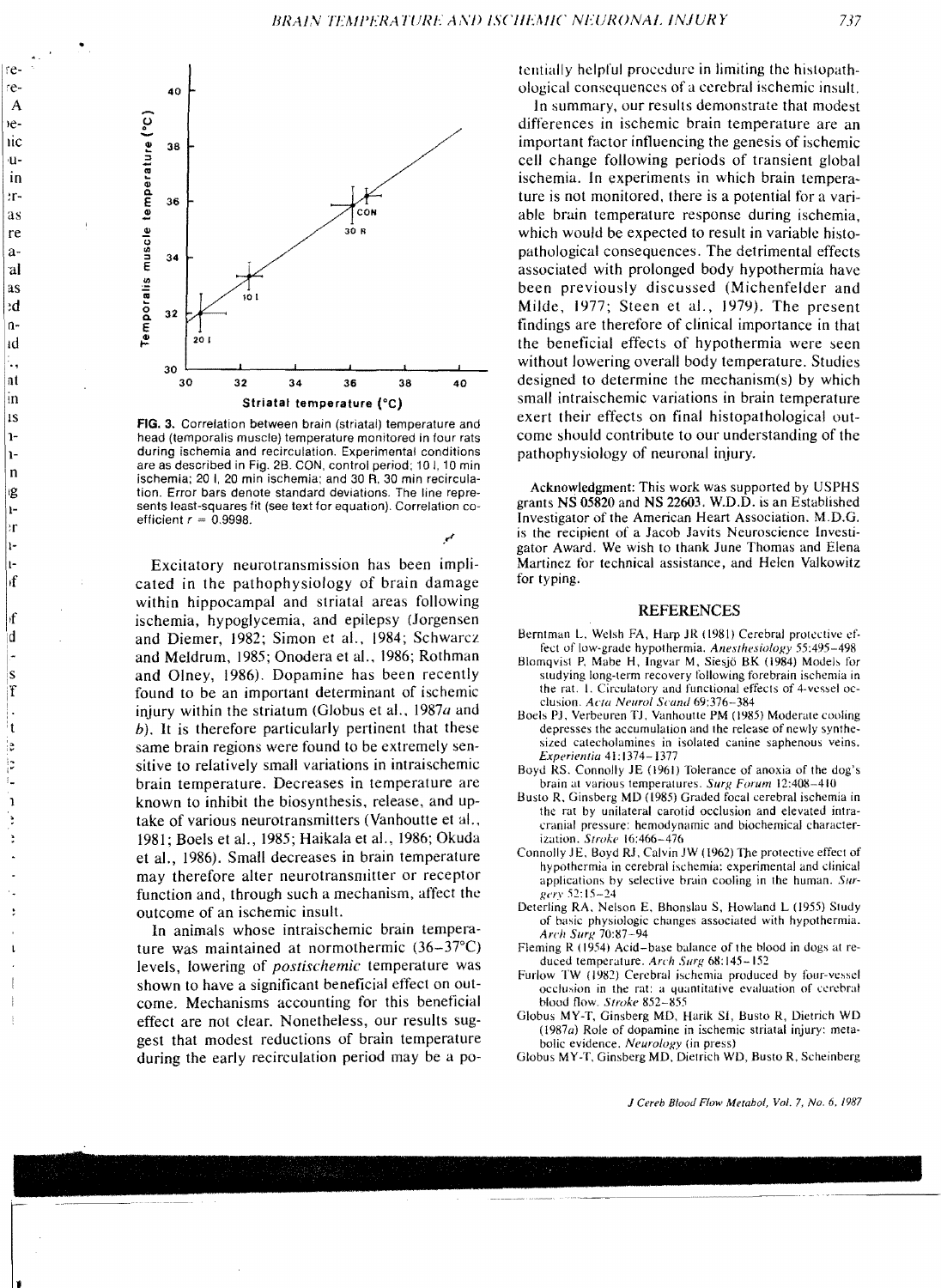مر



FIG. 3. Correlation between brain (striatal) temperature and head (temporalis muscle) temperature monitored in four rats during ischemia and recirculation. Experimental conditions are as described in Fig. 2B. CON, control period; 101, 10 min ischemia; 201, 20 min ischemia; and 30 R, 30 min recirculation. Error bars denote standard deviations. The line represents least-squares fit (see text for equation). Correlation coefficient  $r = 0.9998$ .

Excitatory neurotransmission has been implicated in the pathophysiology of brain damage within hippocampal and striatal areas following ischemia, hypoglycemia, and epilepsy (Jorgensen and Diemer, 1982; Simon et al., 1984; Schwarcz and Meldrum, 1985; Onodera et al., 1986; Rothman and Olney, 1986). Dopamine has been recently found to be an important determinant of ischemic injury within the striatum (Globus et al., 1987*a* and  $(b)$ . It is therefore particularly pertinent that these same brain regions were found to be extremely sensitive to relatively small variations in intraischemic brain temperature. Decreases in temperature are known to inhibit the biosynthesis, release, and uptake of various neurotransmitters (Vanhoutte et al., 1981; Boels et al., 1985; Haikala et al., 1986; Okuda et al., 1986). Small decreases in brain temperature may therefore alter neurotransmitter or receptor function and, through such a mechanism, affect the outcome of an ischemic insult.

In animals whose intraischemic brain temperature was maintained at normothermic (36-37°C) levels, lowering of *postischemic* temperature was shown to have a significant beneficial effect on outcome. Mechanisms accounting for this beneficial effect are not clear. Nonetheless, our results suggest that modest reductions of brain temperature during the early recirculation period may be a potentially helpful procedure in limiting the histopathological consequences of a cerebral ischemic insult.

In summary, our results demonstrate that modest differences in ischemic brain temperature are an important factor influencing the genesis of ischemic cell change following periods of transient global ischemia. In experiments in which brain temperature is not monitored, there is a potential for a variable brain temperature response during ischemia. which would be expected to result in variable histopathological consequences. The detrimental effects associated with prolonged body hypothermia have been previously discussed (Michenfelder and Milde, 1977; Steen et al., 1979). The present findings are therefore of clinical importance in that the beneficial effects of hypothermia were seen without lowering overall body temperature. Studies designed to determine the mechanism(s) by which small intraischemic variations in brain temperature exert their effects on final histopathological outcome should contribute to our understanding of the pathophysiology of neuronal injury.

Acknowledgment: This work was supported by USPHS grants NS 05820 and NS 22603. W.D.D. is an Established Investigator of the American Heart Association. M.D.G. is the recipient of a Jacob Javits Neuroscience Investigator Award. We wish to thank June Thomas and Elena Martinez for technical assistance, and Helen Valkowitz for typing.

## **REFERENCES**

- Berntman L, Welsh FA, Harp JR (1981) Cerebral protective effect of low-grade hypothermia. Anesthesiology 55:495-498
- Blomqvist P, Mabe H, Ingvar M, Siesjö BK (1984) Models for studying long-term recovery following forebrain ischemia in the rat. 1. Circulatory and functional effects of 4-vessel occlusion. Acta Neurol Scand 69:376-384
- Boels PJ, Verbeuren TJ, Vanhoutte PM (1985) Moderate cooling depresses the accumulation and the release of newly synthesized catecholamines in isolated canine saphenous veins. Experientia 41:1374-1377
- Boyd RS. Connolly JE (1961) Tolerance of anoxia of the dog's brain at various temperatures. Surg Forum 12:408-410
- Busto R, Ginsberg MD (1985) Graded focal cerebral ischemia in the rat by unilateral carotid occlusion and elevated intracranial pressure: hemodynamic and biochemical characterization. Stroke 16:466-476
- Connolly JE, Boyd RJ, Calvin JW (1962) The protective effect of hypothermia in cerebral ischemia: experimental and clinical applications by selective brain cooling in the human. Surgery 52:15-24
- Deterling RA, Nelson E, Bhonslau S, Howland L (1955) Study of basic physiologic changes associated with hypothermia. Arch Surg 70:87-94
- Fleming R (1954) Acid-base balance of the blood in dogs at reduced temperature. Arch Surg 68:145-152
- Furlow TW (1982) Cerebral ischemia produced by four-vessel occlusion in the rat: a quantitative evaluation of cerebral blood flow. Stroke 852-855
- Globus MY-T, Ginsberg MD, Harik SI, Busto R, Dietrich WD (1987a) Role of dopamine in ischemic striatal injury: metabolic evidence. Neurology (in press)
- Globus MY-T, Ginsberg MD, Dietrich WD, Busto R, Scheinberg